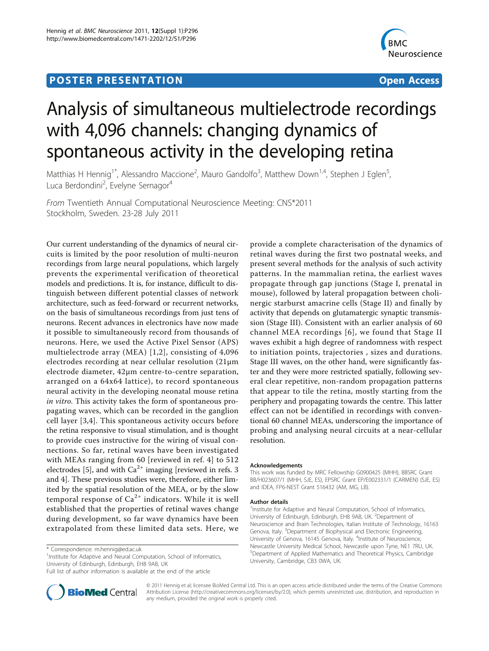## **POSTER PRESENTATION CONSUMING ACCESS**



# Analysis of simultaneous multielectrode recordings with 4,096 channels: changing dynamics of spontaneous activity in the developing retina

Matthias H Hennig<sup>1\*</sup>, Alessandro Maccione<sup>2</sup>, Mauro Gandolfo<sup>3</sup>, Matthew Down<sup>1,4</sup>, Stephen J Eglen<sup>5</sup> , Luca Berdondini<sup>2</sup>, Evelyne Sernagor<sup>4</sup>

From Twentieth Annual Computational Neuroscience Meeting: CNS\*2011 Stockholm, Sweden. 23-28 July 2011

Our current understanding of the dynamics of neural circuits is limited by the poor resolution of multi-neuron recordings from large neural populations, which largely prevents the experimental verification of theoretical models and predictions. It is, for instance, difficult to distinguish between different potential classes of network architecture, such as feed-forward or recurrent networks, on the basis of simultaneous recordings from just tens of neurons. Recent advances in electronics have now made it possible to simultaneously record from thousands of neurons. Here, we used the Active Pixel Sensor (APS) multielectrode array (MEA) [[1,2\]](#page-1-0), consisting of 4,096 electrodes recording at near cellular resolution (21μm electrode diameter, 42μm centre-to-centre separation, arranged on a 64x64 lattice), to record spontaneous neural activity in the developing neonatal mouse retina in vitro. This activity takes the form of spontaneous propagating waves, which can be recorded in the ganglion cell layer [[3,4](#page-1-0)]. This spontaneous activity occurs before the retina responsive to visual stimulation, and is thought to provide cues instructive for the wiring of visual connections. So far, retinal waves have been investigated with MEAs ranging from 60 [reviewed in ref. 4] to 512 electrodes [[5\]](#page-1-0), and with  $Ca^{2+}$  imaging [reviewed in refs. 3 and 4]. These previous studies were, therefore, either limited by the spatial resolution of the MEA, or by the slow temporal response of  $Ca^{2+}$  indicators. While it is well established that the properties of retinal waves change during development, so far wave dynamics have been extrapolated from these limited data sets. Here, we

<sup>1</sup>Institute for Adaptive and Neural Computation, School of Informatics, University of Edinburgh, Edinburgh, EH8 9AB, UK

Full list of author information is available at the end of the article



provide a complete characterisation of the dynamics of retinal waves during the first two postnatal weeks, and present several methods for the analysis of such activity patterns. In the mammalian retina, the earliest waves propagate through gap junctions (Stage I, prenatal in mouse), followed by lateral propagation between cholinergic starburst amacrine cells (Stage II) and finally by activity that depends on glutamatergic synaptic transmission (Stage III). Consistent with an earlier analysis of 60 channel MEA recordings [[6\]](#page-1-0), we found that Stage II waves exhibit a high degree of randomness with respect to initiation points, trajectories , sizes and durations. Stage III waves, on the other hand, were significantly faster and they were more restricted spatially, following several clear repetitive, non-random propagation patterns that appear to tile the retina, mostly starting from the periphery and propagating towards the centre. This latter effect can not be identified in recordings with conventional 60 channel MEAs, underscoring the importance of probing and analysing neural circuits at a near-cellular resolution.

#### Acknowledgements

This work was funded by MRC Fellowship G0900425 (MHH), BBSRC Grant BB/H023607/1 (MHH, SJE, ES), EPSRC Grant EP/E002331/1 (CARMEN) (SJE, ES) and IDEA, FP6-NEST Grant 516432 (AM, MG, LB).

#### Author details

<sup>1</sup>Institute for Adaptive and Neural Computation, School of Informatics, University of Edinburgh, Edinburgh, EH8 9AB, UK. <sup>2</sup>Department of Neuroscience and Brain Technologies, Italian Institute of Technology, 16163 Genova, Italy. <sup>3</sup>Department of Biophysical and Electronic Engineering University of Genova, 16145 Genova, Italy. <sup>4</sup>Institute of Neuroscience Newcastle University Medical School, Newcastle upon Tyne, NE1 7RU, UK. 5 Department of Applied Mathematics and Theoretical Physics, Cambridge University, Cambridge, CB3 0WA, UK.

© 2011 Hennig et al; licensee BioMed Central Ltd. This is an open access article distributed under the terms of the Creative Commons Attribution License [\(http://creativecommons.org/licenses/by/2.0](http://creativecommons.org/licenses/by/2.0)), which permits unrestricted use, distribution, and reproduction in any medium, provided the original work is properly cited.

<sup>\*</sup> Correspondence: [m.hennig@ed.ac.uk](mailto:m.hennig@ed.ac.uk)